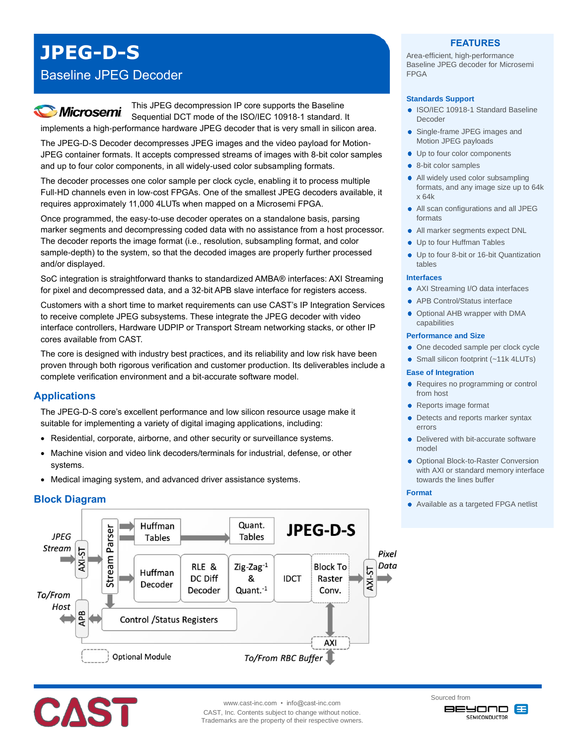# **JPEG-D-S**

### Baseline JPEG Decoder

## **Microsemi**

This JPEG decompression IP core supports the Baseline Sequential DCT mode of the ISO/IEC 10918-1 standard. It implements a high-performance hardware JPEG decoder that is very small in silicon area.

The JPEG-D-S Decoder decompresses JPEG images and the video payload for Motion-JPEG container formats. It accepts compressed streams of images with 8-bit color samples and up to four color components, in all widely-used color subsampling formats.

The decoder processes one color sample per clock cycle, enabling it to process multiple Full-HD channels even in low-cost FPGAs. One of the smallest JPEG decoders available, it requires approximately 11,000 4LUTs when mapped on a Microsemi FPGA.

Once programmed, the easy-to-use decoder operates on a standalone basis, parsing marker segments and decompressing coded data with no assistance from a host processor. The decoder reports the image format (i.e., resolution, subsampling format, and color sample-depth) to the system, so that the decoded images are properly further processed and/or displayed.

SoC integration is straightforward thanks to standardized AMBA® interfaces: AXI Streaming for pixel and decompressed data, and a 32-bit APB slave interface for registers access.

Customers with a short time to market requirements can use CAST's IP Integration Services to receive complete JPEG subsystems. These integrate the JPEG decoder with video interface controllers, Hardware UDPIP or Transport Stream networking stacks, or other IP cores available from CAST.

The core is designed with industry best practices, and its reliability and low risk have been proven through both rigorous verification and customer production. Its deliverables include a complete verification environment and a bit-accurate software model.

#### **Applications**

The JPEG-D-S core's excellent performance and low silicon resource usage make it suitable for implementing a variety of digital imaging applications, including:

- Residential, corporate, airborne, and other security or surveillance systems.
- Machine vision and video link decoders/terminals for industrial, defense, or other systems.
- Medical imaging system, and advanced driver assistance systems.

#### **Block Diagram**



# CAST

www.cast-inc.com • info@cast-inc.com CAST, Inc. Contents subject to change without notice. Trademarks are the property of their respective owners.

#### **FEATURES**

Area-efficient, high-performance Baseline JPEG decoder for Microsemi FPGA

#### **Standards Support**

- ISO/IEC 10918-1 Standard Baseline Decoder
- Single-frame JPEG images and Motion JPEG payloads
- Up to four color components
- 8-bit color samples
- All widely used color subsampling formats, and any image size up to 64k x 64k
- All scan configurations and all JPEG formats
- All marker segments expect DNL
- Up to four Huffman Tables
- Up to four 8-bit or 16-bit Quantization tables

#### **Interfaces**

- AXI Streaming I/O data interfaces
- APB Control/Status interface
- Optional AHB wrapper with DMA capabilities

#### **Performance and Size**

- One decoded sample per clock cycle
- Small silicon footprint (~11k 4LUTs)

#### **Ease of Integration**

- Requires no programming or control from host
- Reports image format
- Detects and reports marker syntax errors
- Delivered with bit-accurate software model
- **Optional Block-to-Raster Conversion** with AXI or standard memory interface towards the lines buffer

#### **Format**

• Available as a targeted FPGA netlist